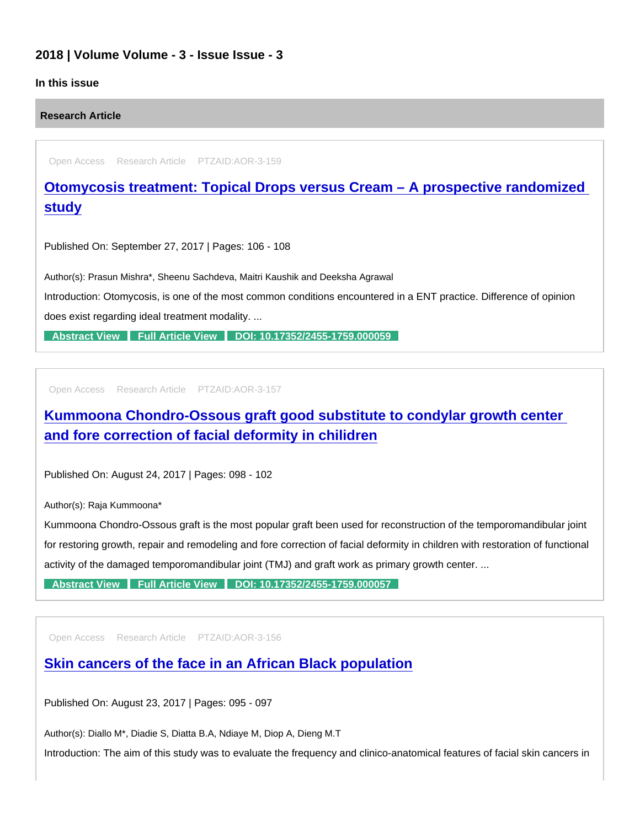## 2018 | Volume Volume - 3 - Issue Issue - 3

#### In this issue

Research Article

Open Access Research Article PTZAID:AOR-3-159

[Otomycosis treatment: Topical Drops versus Cream – A prospective randomized](https://www.peertechzpublications.com/articles/otomycosis-treatment-topical-drops-versus-cream-a-prospective-randomized-study)  study

Published On: September 27, 2017 | Pages: 106 - 108

Author(s): Prasun Mishra\*, Sheenu Sachdeva, Maitri Kaushik and Deeksha Agrawal Introduction: Otomycosis, is one of the most common conditions encountered in a ENT practice. Difference of opinion does exist regarding ideal treatment modality. ...

[Abstract View](https://www.peertechzpublications.com/abstracts/otomycosis-treatment-topical-drops-versus-cream-a-prospective-randomized-study) [Full Article View](https://www.peertechzpublications.com/articles/otomycosis-treatment-topical-drops-versus-cream-a-prospective-randomized-study) [DOI: 10.17352/2455-1759.000059](http://dx.doi.org/10.17352/2455-1759.000059)

Open Access Research Article PTZAID:AOR-3-157

[Kummoona Chondro-Ossous graft good substitute to condylar growth center](https://www.peertechzpublications.com/articles/kummoona-chondro-ossous-graft-good-substitute-to-condylar-growth-center-and-fore-correction-of-facial-deformity-in-chilidren)  and fore correction of facial deformity in chilidren

Published On: August 24, 2017 | Pages: 098 - 102

Author(s): Raja Kummoona\*

Kummoona Chondro-Ossous graft is the most popular graft been used for reconstruction of the temporomandibular joint for restoring growth, repair and remodeling and fore correction of facial deformity in children with restoration of functional activity of the damaged temporomandibular joint (TMJ) and graft work as primary growth center. ...

[Abstract View](https://www.peertechzpublications.com/abstracts/kummoona-chondro-ossous-graft-good-substitute-to-condylar-growth-center-and-fore-correction-of-facial-deformity-in-chilidren) [Full Article View](https://www.peertechzpublications.com/articles/kummoona-chondro-ossous-graft-good-substitute-to-condylar-growth-center-and-fore-correction-of-facial-deformity-in-chilidren) [DOI: 10.17352/2455-1759.000057](http://dx.doi.org/10.17352/2455-1759.000057)

Open Access Research Article PTZAID:AOR-3-156

[Skin cancers of the face in an African Black population](https://www.peertechzpublications.com/articles/skin-cancers-of-the-face-in-an-african-black-population)

Published On: August 23, 2017 | Pages: 095 - 097

Author(s): Diallo M\*, Diadie S, Diatta B.A, Ndiaye M, Diop A, Dieng M.T

Introduction: The aim of this study was to evaluate the frequency and clinico-anatomical features of facial skin cancers in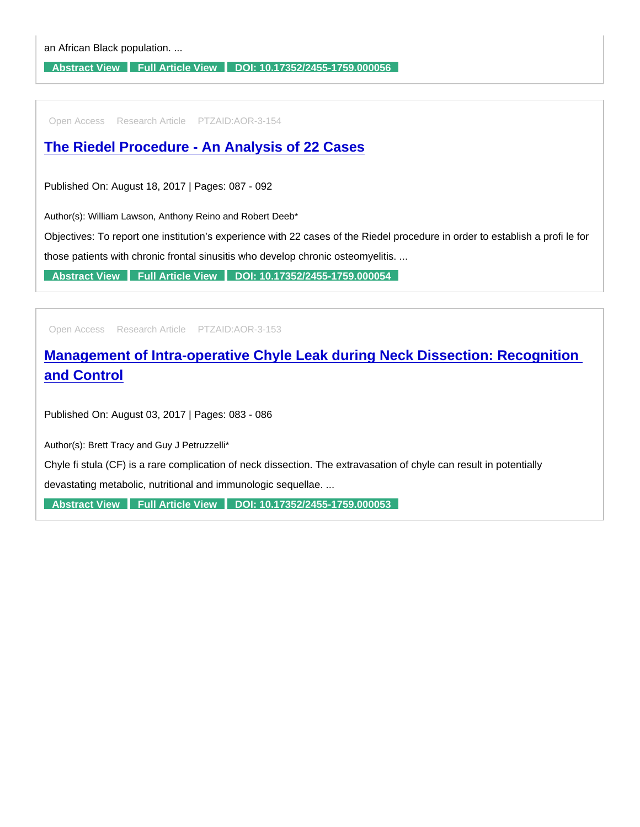[Abstract View](https://www.peertechzpublications.com/abstracts/skin-cancers-of-the-face-in-an-african-black-population) [Full Article View](https://www.peertechzpublications.com/articles/skin-cancers-of-the-face-in-an-african-black-population) [DOI: 10.17352/2455-1759.000056](http://dx.doi.org/10.17352/2455-1759.000056)

Open Access Research Article PTZAID:AOR-3-154

[The Riedel Procedure - An Analysis of 22 Cases](https://www.peertechzpublications.com/articles/the-riedel-procedure-an-analysis-of-22-cases)

Published On: August 18, 2017 | Pages: 087 - 092

Author(s): William Lawson, Anthony Reino and Robert Deeb\*

Objectives: To report one institution's experience with 22 cases of the Riedel procedure in order to establish a profi le for

those patients with chronic frontal sinusitis who develop chronic osteomyelitis. ...

[Abstract View](https://www.peertechzpublications.com/abstracts/the-riedel-procedure-an-analysis-of-22-cases) [Full Article View](https://www.peertechzpublications.com/articles/the-riedel-procedure-an-analysis-of-22-cases) [DOI: 10.17352/2455-1759.000054](http://dx.doi.org/10.17352/2455-1759.000054)

Open Access Research Article PTZAID:AOR-3-153

[Management of Intra-operative Chyle Leak during Neck Dissection: Recognition](https://www.peertechzpublications.com/articles/management-of-intra-operative-chyle-leak-during-neck-dissection-recognition-and-control)  and Control

Published On: August 03, 2017 | Pages: 083 - 086

Author(s): Brett Tracy and Guy J Petruzzelli\*

Chyle fi stula (CF) is a rare complication of neck dissection. The extravasation of chyle can result in potentially

devastating metabolic, nutritional and immunologic sequellae. ...

[Abstract View](https://www.peertechzpublications.com/abstracts/management-of-intra-operative-chyle-leak-during-neck-dissection-recognition-and-control) [Full Article View](https://www.peertechzpublications.com/articles/management-of-intra-operative-chyle-leak-during-neck-dissection-recognition-and-control) [DOI: 10.17352/2455-1759.000053](http://dx.doi.org/10.17352/2455-1759.000053)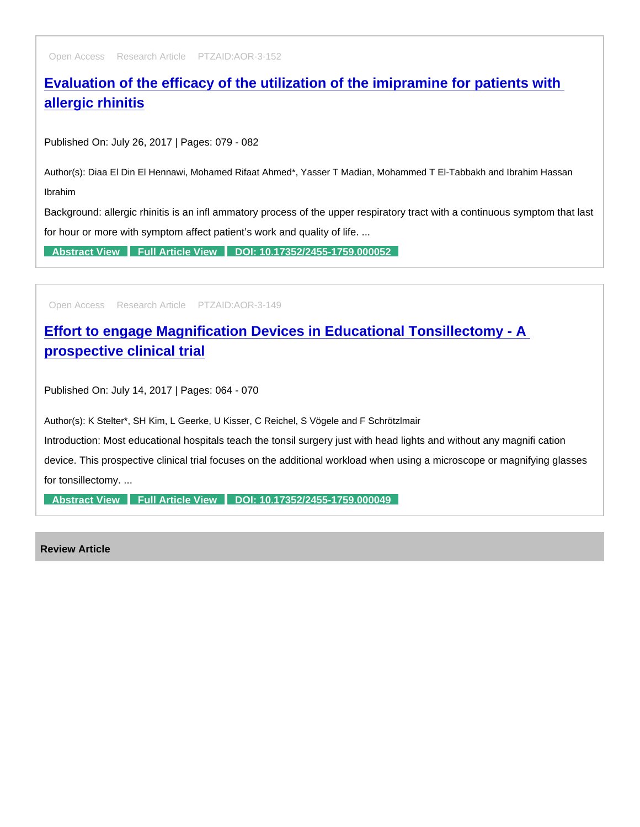Open Access Research Article PTZAID:AOR-3-152

[Evaluation of the efficacy of the utilization of the imipramine for patients with](https://www.peertechzpublications.com/articles/evaluation-of-the-efficacy-of-the-utilization-of-the-imipramine-for-patients-with-allergic-rhinitis)  allergic rhinitis

Published On: July 26, 2017 | Pages: 079 - 082

Author(s): Diaa El Din El Hennawi, Mohamed Rifaat Ahmed\*, Yasser T Madian, Mohammed T El-Tabbakh and Ibrahim Hassan Ibrahim

Background: allergic rhinitis is an infl ammatory process of the upper respiratory tract with a continuous symptom that last for hour or more with symptom affect patient's work and quality of life. ...

[Abstract View](https://www.peertechzpublications.com/abstracts/evaluation-of-the-efficacy-of-the-utilization-of-the-imipramine-for-patients-with-allergic-rhinitis) [Full Article View](https://www.peertechzpublications.com/articles/evaluation-of-the-efficacy-of-the-utilization-of-the-imipramine-for-patients-with-allergic-rhinitis) [DOI: 10.17352/2455-1759.000052](http://dx.doi.org/10.17352/2455-1759.000052)

Open Access Research Article PTZAID:AOR-3-149

[Effort to engage Magnification Devices in Educational Tonsillectomy - A](https://www.peertechzpublications.com/articles/effort-to-engage-magnification-devices-in-educational-tonsillectomy-a-prospective-clinical-trial)  prospective clinical trial

Published On: July 14, 2017 | Pages: 064 - 070

Author(s): K Stelter\*, SH Kim, L Geerke, U Kisser, C Reichel, S Vögele and F Schrötzlmair

Introduction: Most educational hospitals teach the tonsil surgery just with head lights and without any magnifi cation

device. This prospective clinical trial focuses on the additional workload when using a microscope or magnifying glasses for tonsillectomy. ...

[Abstract View](https://www.peertechzpublications.com/abstracts/effort-to-engage-magnification-devices-in-educational-tonsillectomy-a-prospective-clinical-trial) [Full Article View](https://www.peertechzpublications.com/articles/effort-to-engage-magnification-devices-in-educational-tonsillectomy-a-prospective-clinical-trial) [DOI: 10.17352/2455-1759.000049](http://dx.doi.org/10.17352/2455-1759.000049)

Review Article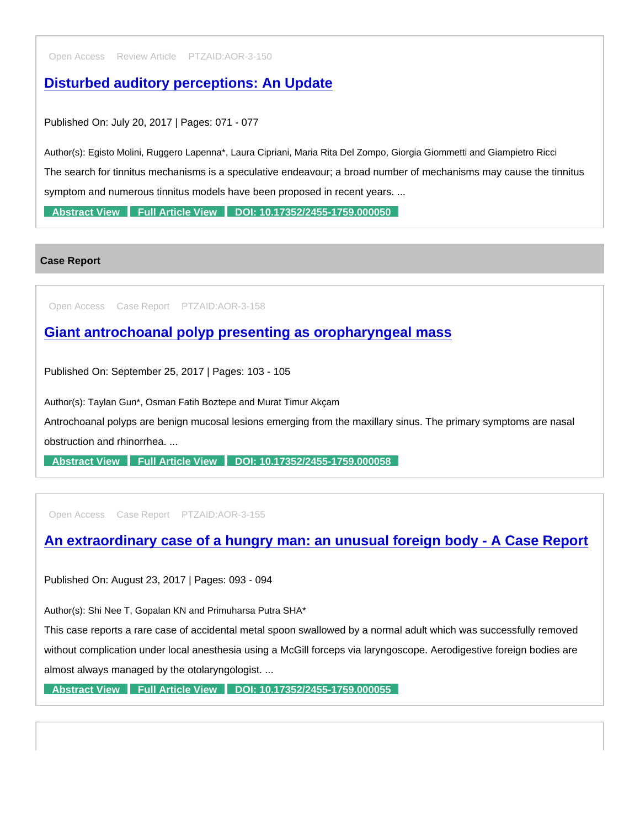Open Access Review Article PTZAID:AOR-3-150

[Disturbed auditory perceptions: An Update](https://www.peertechzpublications.com/articles/disturbed-auditory-perceptions-an-update)

Published On: July 20, 2017 | Pages: 071 - 077

Author(s): Egisto Molini, Ruggero Lapenna\*, Laura Cipriani, Maria Rita Del Zompo, Giorgia Giommetti and Giampietro Ricci The search for tinnitus mechanisms is a speculative endeavour; a broad number of mechanisms may cause the tinnitus symptom and numerous tinnitus models have been proposed in recent years. ...

[Abstract View](https://www.peertechzpublications.com/abstracts/disturbed-auditory-perceptions-an-update) [Full Article View](https://www.peertechzpublications.com/articles/disturbed-auditory-perceptions-an-update) [DOI: 10.17352/2455-1759.000050](http://dx.doi.org/10.17352/2455-1759.000050)

Case Report

Open Access Case Report PTZAID:AOR-3-158

[Giant antrochoanal polyp presenting as oropharyngeal mass](https://www.peertechzpublications.com/articles/giant-antrochoanal-polyp-presenting-as-oropharyngeal-mass)

Published On: September 25, 2017 | Pages: 103 - 105

Author(s): Taylan Gun\*, Osman Fatih Boztepe and Murat Timur Akçam

Antrochoanal polyps are benign mucosal lesions emerging from the maxillary sinus. The primary symptoms are nasal obstruction and rhinorrhea. ...

[Abstract View](https://www.peertechzpublications.com/abstracts/giant-antrochoanal-polyp-presenting-as-oropharyngeal-mass) [Full Article View](https://www.peertechzpublications.com/articles/giant-antrochoanal-polyp-presenting-as-oropharyngeal-mass) [DOI: 10.17352/2455-1759.000058](http://dx.doi.org/10.17352/2455-1759.000058)

Open Access Case Report PTZAID:AOR-3-155

## [An extraordinary case of a hungry man: an unusual foreign body - A Case Report](https://www.peertechzpublications.com/articles/an-extraordinary-case-of-a-hungry-man-an-unusual-foreign-body-a-case-report)

Published On: August 23, 2017 | Pages: 093 - 094

Author(s): Shi Nee T, Gopalan KN and Primuharsa Putra SHA\*

This case reports a rare case of accidental metal spoon swallowed by a normal adult which was successfully removed without complication under local anesthesia using a McGill forceps via laryngoscope. Aerodigestive foreign bodies are almost always managed by the otolaryngologist. ...

[Abstract View](https://www.peertechzpublications.com/abstracts/an-extraordinary-case-of-a-hungry-man-an-unusual-foreign-body-a-case-report) [Full Article View](https://www.peertechzpublications.com/articles/an-extraordinary-case-of-a-hungry-man-an-unusual-foreign-body-a-case-report) [DOI: 10.17352/2455-1759.000055](http://dx.doi.org/10.17352/2455-1759.000055)